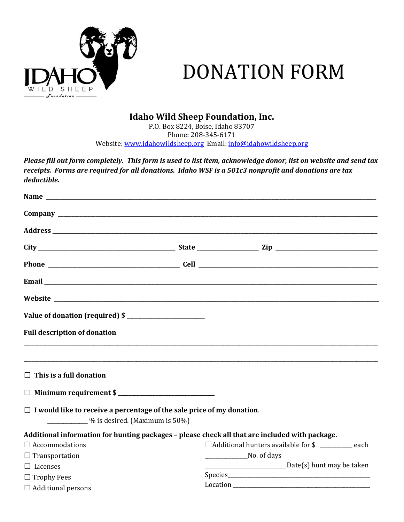

# DONATION FORM

## Idaho Wild Sheep Foundation, Inc.

P.O. Box 8224, Boise, Idaho 83707 Phone: 208-345-6171 Website: www.idahowildsheep.org Email: info@idahowildsheep.org

Please fill out form completely. This form is used to list item, acknowledge donor, list on website and send tax receipts. Forms are required for all donations. Idaho WSF is a 501c3 nonprofit and donations are tax deductible.

| Address and the contract of the contract of the contract of the contract of the contract of the contract of the contract of the contract of the contract of the contract of the contract of the contract of the contract of th |                                                 |  |  |
|--------------------------------------------------------------------------------------------------------------------------------------------------------------------------------------------------------------------------------|-------------------------------------------------|--|--|
|                                                                                                                                                                                                                                |                                                 |  |  |
|                                                                                                                                                                                                                                |                                                 |  |  |
|                                                                                                                                                                                                                                |                                                 |  |  |
|                                                                                                                                                                                                                                |                                                 |  |  |
| Value of donation (required) \$                                                                                                                                                                                                |                                                 |  |  |
| <b>Full description of donation</b>                                                                                                                                                                                            |                                                 |  |  |
|                                                                                                                                                                                                                                |                                                 |  |  |
| $\Box$ This is a full donation                                                                                                                                                                                                 |                                                 |  |  |
| □ Minimum requirement \$                                                                                                                                                                                                       |                                                 |  |  |
| $\Box$ I would like to receive a percentage of the sale price of my donation.<br>$\frac{1}{2}$ % is desired. (Maximum is 50%)                                                                                                  |                                                 |  |  |
| Additional information for hunting packages - please check all that are included with package.                                                                                                                                 |                                                 |  |  |
| $\Box$ Accommodations                                                                                                                                                                                                          | $\Box$ Additional hunters available for \$ each |  |  |
| $\Box$ Transportation                                                                                                                                                                                                          | No. of days                                     |  |  |
| $\Box$ Licenses                                                                                                                                                                                                                | $\frac{1}{2}$ Date(s) hunt may be taken         |  |  |
| $\Box$ Trophy Fees                                                                                                                                                                                                             |                                                 |  |  |
| $\Box$ Additional persons                                                                                                                                                                                                      |                                                 |  |  |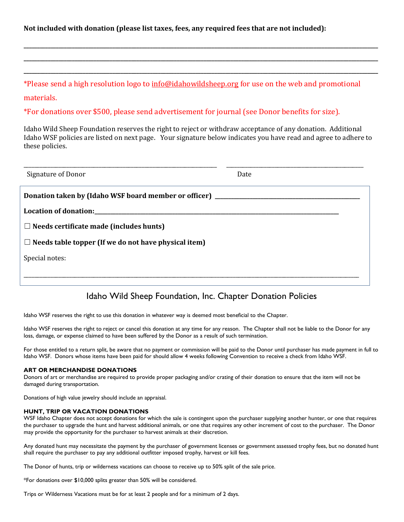Not included with donation (please list taxes, fees, any required fees that are not included):

\*Please send a high resolution logo to info@idahowildsheep.org for use on the web and promotional

\_\_\_\_\_\_\_\_\_\_\_\_\_\_\_\_\_\_\_\_\_\_\_\_\_\_\_\_\_\_\_\_\_\_\_\_\_\_\_\_\_\_\_\_\_\_\_\_\_\_\_\_\_\_\_\_\_\_\_\_\_\_\_\_\_\_\_\_\_\_\_\_\_\_\_\_\_\_\_\_\_\_\_\_\_\_\_\_\_\_\_\_\_\_\_\_\_\_\_\_\_\_\_\_\_\_\_\_\_\_\_\_\_\_\_\_\_\_\_\_\_\_\_\_\_\_\_\_\_\_\_\_ \_\_\_\_\_\_\_\_\_\_\_\_\_\_\_\_\_\_\_\_\_\_\_\_\_\_\_\_\_\_\_\_\_\_\_\_\_\_\_\_\_\_\_\_\_\_\_\_\_\_\_\_\_\_\_\_\_\_\_\_\_\_\_\_\_\_\_\_\_\_\_\_\_\_\_\_\_\_\_\_\_\_\_\_\_\_\_\_\_\_\_\_\_\_\_\_\_\_\_\_\_\_\_\_\_\_\_\_\_\_\_\_\_\_\_\_\_\_\_\_\_\_\_\_\_\_\_\_\_\_\_\_ \_\_\_\_\_\_\_\_\_\_\_\_\_\_\_\_\_\_\_\_\_\_\_\_\_\_\_\_\_\_\_\_\_\_\_\_\_\_\_\_\_\_\_\_\_\_\_\_\_\_\_\_\_\_\_\_\_\_\_\_\_\_\_\_\_\_\_\_\_\_\_\_\_\_\_\_\_\_\_\_\_\_\_\_\_\_\_\_\_\_\_\_\_\_\_\_\_\_\_\_\_\_\_\_\_\_\_\_\_\_\_\_\_\_\_\_\_\_\_\_\_\_\_\_\_\_\_\_\_\_\_\_

materials.

\*For donations over \$500, please send advertisement for journal (see Donor benefits for size).

Idaho Wild Sheep Foundation reserves the right to reject or withdraw acceptance of any donation. Additional Idaho WSF policies are listed on next page. Your signature below indicates you have read and agree to adhere to these policies.

| Signature of Donor                                                               | Date |  |  |  |
|----------------------------------------------------------------------------------|------|--|--|--|
| Donation taken by (Idaho WSF board member or officer) __________________________ |      |  |  |  |
|                                                                                  |      |  |  |  |
| $\Box$ Needs certificate made (includes hunts)                                   |      |  |  |  |
| $\Box$ Needs table topper (If we do not have physical item)                      |      |  |  |  |
| Special notes:                                                                   |      |  |  |  |
|                                                                                  |      |  |  |  |
|                                                                                  |      |  |  |  |

## Idaho Wild Sheep Foundation, Inc. Chapter Donation Policies

Idaho WSF reserves the right to use this donation in whatever way is deemed most beneficial to the Chapter.

Idaho WSF reserves the right to reject or cancel this donation at any time for any reason. The Chapter shall not be liable to the Donor for any loss, damage, or expense claimed to have been suffered by the Donor as a result of such termination.

For those entitled to a return split, be aware that no payment or commission will be paid to the Donor until purchaser has made payment in full to Idaho WSF. Donors whose items have been paid for should allow 4 weeks following Convention to receive a check from Idaho WSF.

### ART OR MERCHANDISE DONATIONS

Donors of art or merchandise are required to provide proper packaging and/or crating of their donation to ensure that the item will not be damaged during transportation.

Donations of high value jewelry should include an appraisal.

### HUNT, TRIP OR VACATION DONATIONS

WSF Idaho Chapter does not accept donations for which the sale is contingent upon the purchaser supplying another hunter, or one that requires the purchaser to upgrade the hunt and harvest additional animals, or one that requires any other increment of cost to the purchaser. The Donor may provide the opportunity for the purchaser to harvest animals at their discretion.

Any donated hunt may necessitate the payment by the purchaser of government licenses or government assessed trophy fees, but no donated hunt shall require the purchaser to pay any additional outfitter imposed trophy, harvest or kill fees.

The Donor of hunts, trip or wilderness vacations can choose to receive up to 50% split of the sale price.

\*For donations over \$10,000 splits greater than 50% will be considered.

Trips or Wilderness Vacations must be for at least 2 people and for a minimum of 2 days.